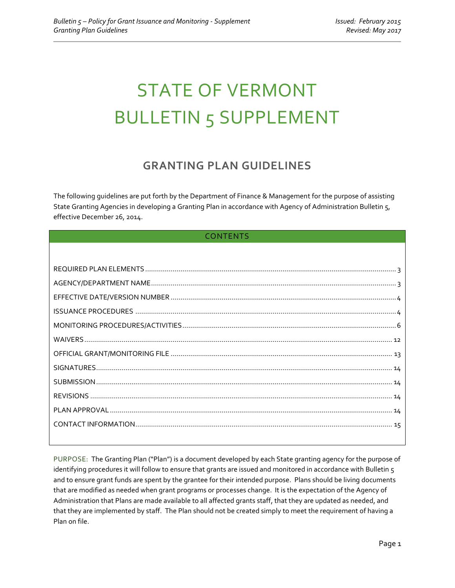# STATE OF VERMONT BULLETIN 5 SUPPLEMENT

# **GRANTING PLAN GUIDELINES**

The following guidelines are put forth by the Department of Finance & Management for the purpose of assisting State Granting Agencies in developing a Granting Plan in accordance with Agency of Administration Bulletin 5, effective December 26, 2014.

# CONTENTS

PURPOSE: The Granting Plan ("Plan") is a document developed by each State granting agency for the purpose of identifying procedures it will follow to ensure that grants are issued and monitored in accordance with Bulletin 5 and to ensure grant funds are spent by the grantee for their intended purpose. Plans should be living documents that are modified as needed when grant programs or processes change. It is the expectation of the Agency of Administration that Plans are made available to all affected grants staff, that they are updated as needed, and that they are implemented by staff. The Plan should not be created simply to meet the requirement of having a Plan on file.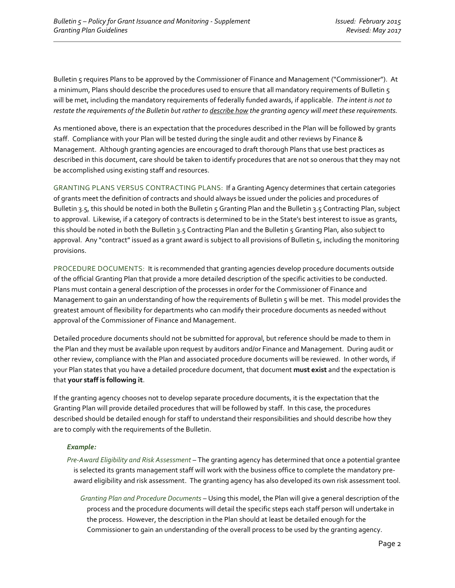Bulletin 5 requires Plans to be approved by the Commissioner of Finance and Management ("Commissioner"). At a minimum, Plans should describe the procedures used to ensure that all mandatory requirements of Bulletin 5 will be met, including the mandatory requirements of federally funded awards, if applicable. *The intent is not to restate the requirements of the Bulletin but rather to describe how the granting agency will meet these requirements.*

As mentioned above, there is an expectation that the procedures described in the Plan will be followed by grants staff. Compliance with your Plan will be tested during the single audit and other reviews by Finance & Management. Although granting agencies are encouraged to draft thorough Plans that use best practices as described in this document, care should be taken to identify procedures that are not so onerous that they may not be accomplished using existing staff and resources.

GRANTING PLANS VERSUS CONTRACTING PLANS: If a Granting Agency determines that certain categories of grants meet the definition of contracts and should always be issued under the policies and procedures of Bulletin 3.5, this should be noted in both the Bulletin 5 Granting Plan and the Bulletin 3.5 Contracting Plan, subject to approval. Likewise, if a category of contracts is determined to be in the State's best interest to issue as grants, this should be noted in both the Bulletin 3.5 Contracting Plan and the Bulletin 5 Granting Plan, also subject to approval. Any "contract" issued as a grant award is subject to all provisions of Bulletin 5, including the monitoring provisions.

PROCEDURE DOCUMENTS: It is recommended that granting agencies develop procedure documents outside of the official Granting Plan that provide a more detailed description of the specific activities to be conducted. Plans must contain a general description of the processes in order for the Commissioner of Finance and Management to gain an understanding of how the requirements of Bulletin 5 will be met. This model provides the greatest amount of flexibility for departments who can modify their procedure documents as needed without approval of the Commissioner of Finance and Management.

Detailed procedure documents should not be submitted for approval, but reference should be made to them in the Plan and they must be available upon request by auditors and/or Finance and Management. During audit or other review, compliance with the Plan and associated procedure documents will be reviewed. In other words, if your Plan states that you have a detailed procedure document, that document **must exist** and the expectation is that **your staff is following it**.

If the granting agency chooses not to develop separate procedure documents, it is the expectation that the Granting Plan will provide detailed procedures that will be followed by staff. In this case, the procedures described should be detailed enough for staff to understand their responsibilities and should describe how they are to comply with the requirements of the Bulletin.

#### *Example:*

- *Pre-Award Eligibility and Risk Assessment* The granting agency has determined that once a potential grantee is selected its grants management staff will work with the business office to complete the mandatory preaward eligibility and risk assessment. The granting agency has also developed its own risk assessment tool.
	- *Granting Plan and Procedure Documents* Using this model, the Plan will give a general description of the process and the procedure documents will detail the specific steps each staff person will undertake in the process. However, the description in the Plan should at least be detailed enough for the Commissioner to gain an understanding of the overall process to be used by the granting agency.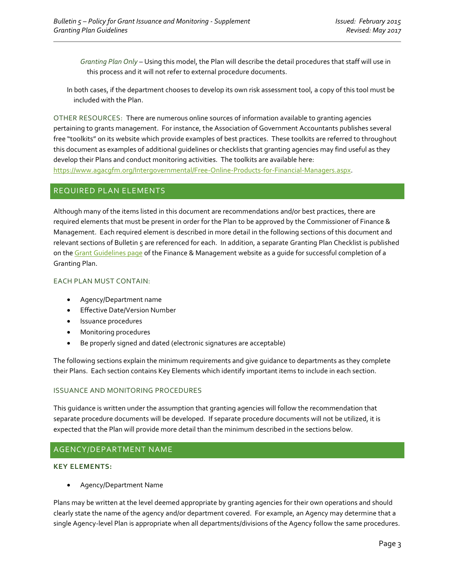*Granting Plan Only* – Using this model, the Plan will describe the detail procedures that staff will use in this process and it will not refer to external procedure documents.

In both cases, if the department chooses to develop its own risk assessment tool, a copy of this tool must be included with the Plan.

OTHER RESOURCES: There are numerous online sources of information available to granting agencies pertaining to grants management. For instance, the Association of Government Accountants publishes several free "toolkits" on its website which provide examples of best practices. These toolkits are referred to throughout this document as examples of additional guidelines or checklists that granting agencies may find useful as they develop their Plans and conduct monitoring activities. The toolkits are available here: [https://www.agacgfm.org/Intergovernmental/Free-Online-Products-for-Financial-Managers.aspx.](https://www.agacgfm.org/Intergovernmental/Free-Online-Products-for-Financial-Managers.aspx)

#### <span id="page-2-0"></span>REQUIRED PLAN ELEMENTS

Although many of the items listed in this document are recommendations and/or best practices, there are required elements that must be present in order for the Plan to be approved by the Commissioner of Finance & Management. Each required element is described in more detail in the following sections of this document and relevant sections of Bulletin 5 are referenced for each. In addition, a separate Granting Plan Checklist is published on th[e Grant Guidelines](http://finance.vermont.gov/policies-and-procedures/grant-guidelines-and-procedures) page of the Finance & Management website as a guide for successful completion of a Granting Plan.

#### EACH PLAN MUST CONTAIN:

- Agency/Department name
- Effective Date/Version Number
- Issuance procedures
- Monitoring procedures
- Be properly signed and dated (electronic signatures are acceptable)

The following sections explain the minimum requirements and give guidance to departments as they complete their Plans. Each section contains Key Elements which identify important items to include in each section.

#### ISSUANCE AND MONITORING PROCEDURES

This guidance is written under the assumption that granting agencies will follow the recommendation that separate procedure documents will be developed. If separate procedure documents will not be utilized, it is expected that the Plan will provide more detail than the minimum described in the sections below.

#### <span id="page-2-1"></span>AGENCY/DEPARTMENT NAME

#### **KEY ELEMENTS:**

• Agency/Department Name

Plans may be written at the level deemed appropriate by granting agencies for their own operations and should clearly state the name of the agency and/or department covered. For example, an Agency may determine that a single Agency-level Plan is appropriate when all departments/divisions of the Agency follow the same procedures.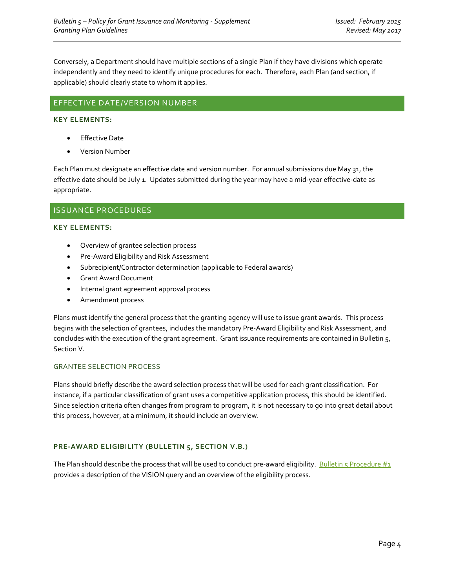Conversely, a Department should have multiple sections of a single Plan if they have divisions which operate independently and they need to identify unique procedures for each. Therefore, each Plan (and section, if applicable) should clearly state to whom it applies.

# <span id="page-3-0"></span>EFFECTIVE DATE/VERSION NUMBER

#### **KEY ELEMENTS:**

- Effective Date
- Version Number

Each Plan must designate an effective date and version number. For annual submissions due May 31, the effective date should be July 1. Updates submitted during the year may have a mid-year effective-date as appropriate.

### <span id="page-3-1"></span>ISSUANCE PROCEDURES

#### **KEY ELEMENTS:**

- Overview of grantee selection process
- Pre-Award Eligibility and Risk Assessment
- Subrecipient/Contractor determination (applicable to Federal awards)
- Grant Award Document
- Internal grant agreement approval process
- Amendment process

Plans must identify the general process that the granting agency will use to issue grant awards. This process begins with the selection of grantees, includes the mandatory Pre-Award Eligibility and Risk Assessment, and concludes with the execution of the grant agreement. Grant issuance requirements are contained in Bulletin 5, Section V.

#### GRANTEE SELECTION PROCESS

Plans should briefly describe the award selection process that will be used for each grant classification. For instance, if a particular classification of grant uses a competitive application process, this should be identified. Since selection criteria often changes from program to program, it is not necessary to go into great detail about this process, however, at a minimum, it should include an overview.

#### **PRE-AWARD ELIGIBILITY (BULLETIN 5, SECTION V.B.)**

The Plan should describe the process that will be used to conduct pre-award eligibility. Bulletin 5 Procedure  $\#_1$ provides a description of the VISION query and an overview of the eligibility process.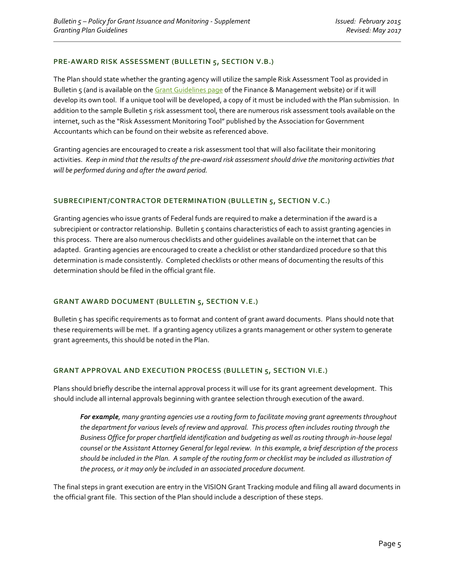#### **PRE-AWARD RISK ASSESSMENT (BULLETIN 5, SECTION V.B.)**

The Plan should state whether the granting agency will utilize the sample Risk Assessment Tool as provided in Bulletin 5 (and is available on th[e Grant Guidelines page](http://finance.vermont.gov/policies-and-procedures/grant-guidelines-and-procedures) of the Finance & Management website) or if it will develop its own tool. If a unique tool will be developed, a copy of it must be included with the Plan submission. In addition to the sample Bulletin 5 risk assessment tool, there are numerous risk assessment tools available on the internet, such as the "Risk Assessment Monitoring Tool" published by the Association for Government Accountants which can be found on their website as referenced above.

Granting agencies are encouraged to create a risk assessment tool that will also facilitate their monitoring activities. *Keep in mind that the results of the pre-award risk assessment should drive the monitoring activities that will be performed during and after the award period.*

#### **SUBRECIPIENT/CONTRACTOR DETERMINATION (BULLETIN 5, SECTION V.C.)**

Granting agencies who issue grants of Federal funds are required to make a determination if the award is a subrecipient or contractor relationship. Bulletin 5 contains characteristics of each to assist granting agencies in this process. There are also numerous checklists and other guidelines available on the internet that can be adapted. Granting agencies are encouraged to create a checklist or other standardized procedure so that this determination is made consistently. Completed checklists or other means of documenting the results of this determination should be filed in the official grant file.

#### **GRANT AWARD DOCUMENT (BULLETIN 5, SECTION V.E.)**

Bulletin 5 has specific requirements as to format and content of grant award documents. Plans should note that these requirements will be met. If a granting agency utilizes a grants management or other system to generate grant agreements, this should be noted in the Plan.

#### **GRANT APPROVAL AND EXECUTION PROCESS (BULLETIN 5, SECTION VI.E.)**

Plans should briefly describe the internal approval process it will use for its grant agreement development. This should include all internal approvals beginning with grantee selection through execution of the award.

*For example, many granting agencies use a routing form to facilitate moving grant agreements throughout the department for various levels of review and approval. This process often includes routing through the Business Office for proper chartfield identification and budgeting as well as routing through in-house legal counsel or the Assistant Attorney General for legal review. In this example, a brief description of the process should be included in the Plan. A sample of the routing form or checklist may be included as illustration of the process, or it may only be included in an associated procedure document.*

The final steps in grant execution are entry in the VISION Grant Tracking module and filing all award documents in the official grant file. This section of the Plan should include a description of these steps.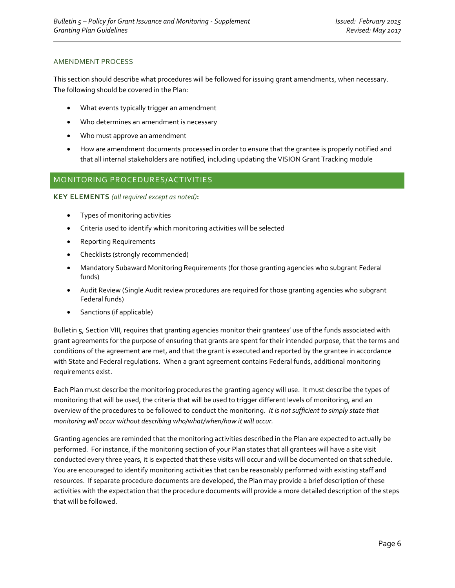#### AMENDMENT PROCESS

This section should describe what procedures will be followed for issuing grant amendments, when necessary. The following should be covered in the Plan:

- What events typically trigger an amendment
- Who determines an amendment is necessary
- Who must approve an amendment
- How are amendment documents processed in order to ensure that the grantee is properly notified and that all internal stakeholders are notified, including updating the VISION Grant Tracking module

# <span id="page-5-0"></span>MONITORING PROCEDURES/ACTIVITIES

**KEY ELEMENTS** *(all required except as noted)***:**

- Types of monitoring activities
- Criteria used to identify which monitoring activities will be selected
- Reporting Requirements
- Checklists (strongly recommended)
- Mandatory Subaward Monitoring Requirements (for those granting agencies who subgrant Federal funds)
- Audit Review (Single Audit review procedures are required for those granting agencies who subgrant Federal funds)
- Sanctions (if applicable)

Bulletin 5, Section VIII, requires that granting agencies monitor their grantees' use of the funds associated with grant agreements for the purpose of ensuring that grants are spent for their intended purpose, that the terms and conditions of the agreement are met, and that the grant is executed and reported by the grantee in accordance with State and Federal regulations. When a grant agreement contains Federal funds, additional monitoring requirements exist.

Each Plan must describe the monitoring procedures the granting agency will use. It must describe the types of monitoring that will be used, the criteria that will be used to trigger different levels of monitoring, and an overview of the procedures to be followed to conduct the monitoring. *It is not sufficient to simply state that monitoring will occur without describing who/what/when/how it will occur.*

Granting agencies are reminded that the monitoring activities described in the Plan are expected to actually be performed. For instance, if the monitoring section of your Plan states that all grantees will have a site visit conducted every three years, it is expected that these visits will occur and will be documented on that schedule. You are encouraged to identify monitoring activities that can be reasonably performed with existing staff and resources. If separate procedure documents are developed, the Plan may provide a brief description of these activities with the expectation that the procedure documents will provide a more detailed description of the steps that will be followed.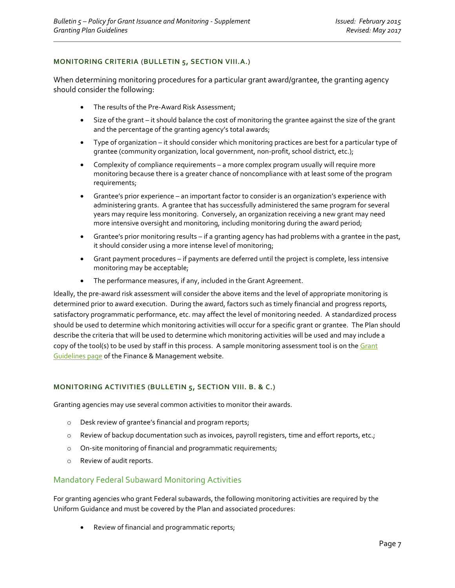#### **MONITORING CRITERIA (BULLETIN 5, SECTION VIII.A.)**

When determining monitoring procedures for a particular grant award/grantee, the granting agency should consider the following:

- The results of the Pre-Award Risk Assessment;
- Size of the grant it should balance the cost of monitoring the grantee against the size of the grant and the percentage of the granting agency's total awards;
- Type of organization it should consider which monitoring practices are best for a particular type of grantee (community organization, local government, non-profit, school district, etc.);
- Complexity of compliance requirements a more complex program usually will require more monitoring because there is a greater chance of noncompliance with at least some of the program requirements;
- Grantee's prior experience an important factor to consider is an organization's experience with administering grants. A grantee that has successfully administered the same program for several years may require less monitoring. Conversely, an organization receiving a new grant may need more intensive oversight and monitoring, including monitoring during the award period;
- Grantee's prior monitoring results if a granting agency has had problems with a grantee in the past, it should consider using a more intense level of monitoring;
- Grant payment procedures if payments are deferred until the project is complete, less intensive monitoring may be acceptable;
- The performance measures, if any, included in the Grant Agreement.

Ideally, the pre-award risk assessment will consider the above items and the level of appropriate monitoring is determined prior to award execution. During the award, factors such as timely financial and progress reports, satisfactory programmatic performance, etc. may affect the level of monitoring needed. A standardized process should be used to determine which monitoring activities will occur for a specific grant or grantee. The Plan should describe the criteria that will be used to determine which monitoring activities will be used and may include a copy of the tool(s) to be used by staff in this process. A sample monitoring assessment tool is on the Grant [Guidelines page](http://finance.vermont.gov/policies-and-procedures/grant-guidelines-and-procedures) of the Finance & Management website.

#### **MONITORING ACTIVITIES (BULLETIN 5, SECTION VIII. B. & C.)**

Granting agencies may use several common activities to monitor their awards.

- o Desk review of grantee's financial and program reports;
- o Review of backup documentation such as invoices, payroll registers, time and effort reports, etc.;
- o On-site monitoring of financial and programmatic requirements;
- o Review of audit reports.

#### Mandatory Federal Subaward Monitoring Activities

For granting agencies who grant Federal subawards, the following monitoring activities are required by the Uniform Guidance and must be covered by the Plan and associated procedures:

• Review of financial and programmatic reports;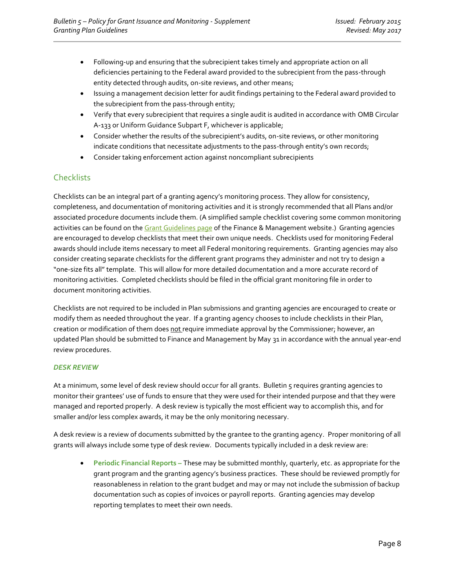- Following-up and ensuring that the subrecipient takes timely and appropriate action on all deficiencies pertaining to the Federal award provided to the subrecipient from the pass-through entity detected through audits, on-site reviews, and other means;
- Issuing a management decision letter for audit findings pertaining to the Federal award provided to the subrecipient from the pass-through entity;
- Verify that every subrecipient that requires a single audit is audited in accordance with OMB Circular A-133 or Uniform Guidance Subpart F, whichever is applicable;
- Consider whether the results of the subrecipient's audits, on-site reviews, or other monitoring indicate conditions that necessitate adjustments to the pass-through entity's own records;
- Consider taking enforcement action against noncompliant subrecipients

# **Checklists**

Checklists can be an integral part of a granting agency's monitoring process. They allow for consistency, completeness, and documentation of monitoring activities and it is strongly recommended that all Plans and/or associated procedure documents include them. (A simplified sample checklist covering some common monitoring activities can be found on th[e Grant Guidelines](http://finance.vermont.gov/policies-and-procedures/grant-guidelines-and-procedures) page of the Finance & Management website.) Granting agencies are encouraged to develop checklists that meet their own unique needs. Checklists used for monitoring Federal awards should include items necessary to meet all Federal monitoring requirements. Granting agencies may also consider creating separate checklists for the different grant programs they administer and not try to design a "one-size fits all" template. This will allow for more detailed documentation and a more accurate record of monitoring activities. Completed checklists should be filed in the official grant monitoring file in order to document monitoring activities.

Checklists are not required to be included in Plan submissions and granting agencies are encouraged to create or modify them as needed throughout the year. If a granting agency chooses to include checklists in their Plan, creation or modification of them does not require immediate approval by the Commissioner; however, an updated Plan should be submitted to Finance and Management by May 31 in accordance with the annual year-end review procedures.

#### *DESK REVIEW*

At a minimum, some level of desk review should occur for all grants. Bulletin 5 requires granting agencies to monitor their grantees' use of funds to ensure that they were used for their intended purpose and that they were managed and reported properly. A desk review is typically the most efficient way to accomplish this, and for smaller and/or less complex awards, it may be the only monitoring necessary.

A desk review is a review of documents submitted by the grantee to the granting agency. Proper monitoring of all grants will always include some type of desk review. Documents typically included in a desk review are:

• **Periodic Financial Reports –** These may be submitted monthly, quarterly, etc. as appropriate for the grant program and the granting agency's business practices. These should be reviewed promptly for reasonableness in relation to the grant budget and may or may not include the submission of backup documentation such as copies of invoices or payroll reports. Granting agencies may develop reporting templates to meet their own needs.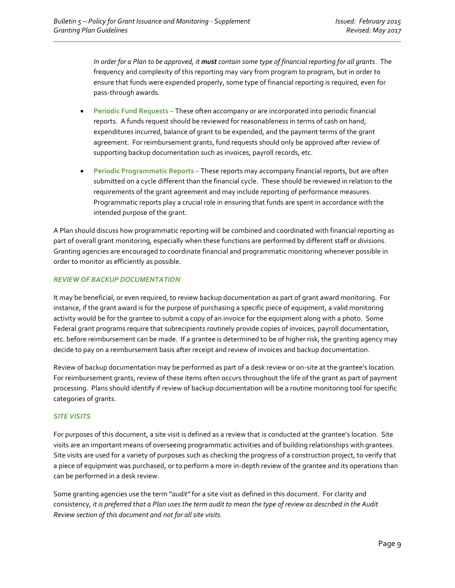*In order for a Plan to be approved, it must contain some type of financial reporting for all grants*. The frequency and complexity of this reporting may vary from program to program, but in order to ensure that funds were expended properly, some type of financial reporting is required, even for pass-through awards.

- **Periodic Fund Requests –** These often accompany or are incorporated into periodic financial reports. A funds request should be reviewed for reasonableness in terms of cash on hand, expenditures incurred, balance of grant to be expended, and the payment terms of the grant agreement. For reimbursement grants, fund requests should only be approved after review of supporting backup documentation such as invoices, payroll records, etc.
- **Periodic Programmatic Reports –** These reports may accompany financial reports, but are often submitted on a cycle different than the financial cycle. These should be reviewed in relation to the requirements of the grant agreement and may include reporting of performance measures. Programmatic reports play a crucial role in ensuring that funds are spent in accordance with the intended purpose of the grant.

A Plan should discuss how programmatic reporting will be combined and coordinated with financial reporting as part of overall grant monitoring, especially when these functions are performed by different staff or divisions. Granting agencies are encouraged to coordinate financial and programmatic monitoring whenever possible in order to monitor as efficiently as possible.

#### *REVIEW OF BACKUP DOCUMENTATION*

It may be beneficial, or even required, to review backup documentation as part of grant award monitoring. For instance, if the grant award is for the purpose of purchasing a specific piece of equipment, a valid monitoring activity would be for the grantee to submit a copy of an invoice for the equipment along with a photo. Some Federal grant programs require that subrecipients routinely provide copies of invoices, payroll documentation, etc. before reimbursement can be made. If a grantee is determined to be of higher risk, the granting agency may decide to pay on a reimbursement basis after receipt and review of invoices and backup documentation.

Review of backup documentation may be performed as part of a desk review or on-site at the grantee's location. For reimbursement grants, review of these items often occurs throughout the life of the grant as part of payment processing. Plans should identify if review of backup documentation will be a routine monitoring tool for specific categories of grants.

#### *SITE VISITS*

For purposes of this document, a site visit is defined as a review that is conducted at the grantee's location. Site visits are an important means of overseeing programmatic activities and of building relationships with grantees. Site visits are used for a variety of purposes such as checking the progress of a construction project, to verify that a piece of equipment was purchased, or to perform a more in-depth review of the grantee and its operations than can be performed in a desk review.

Some granting agencies use the term "*audit"* for a site visit as defined in this document. For clarity and consistency*, it is preferred that a Plan uses the term audit to mean the type of review as described in the Audit Review section of this document and not for all site visits.*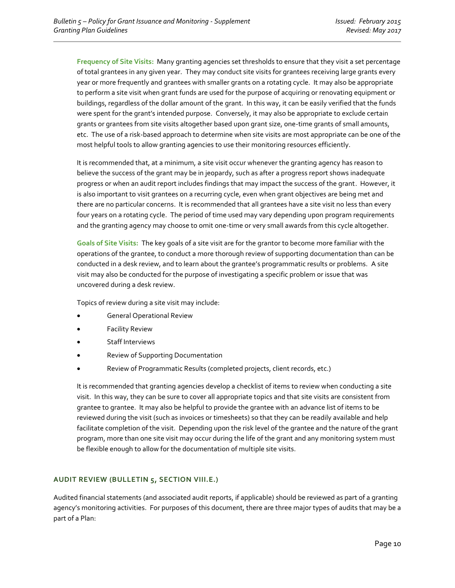**Frequency of Site Visits:** Many granting agencies set thresholds to ensure that they visit a set percentage of total grantees in any given year. They may conduct site visits for grantees receiving large grants every year or more frequently and grantees with smaller grants on a rotating cycle. It may also be appropriate to perform a site visit when grant funds are used for the purpose of acquiring or renovating equipment or buildings, regardless of the dollar amount of the grant. In this way, it can be easily verified that the funds were spent for the grant's intended purpose. Conversely, it may also be appropriate to exclude certain grants or grantees from site visits altogether based upon grant size, one-time grants of small amounts, etc. The use of a risk-based approach to determine when site visits are most appropriate can be one of the most helpful tools to allow granting agencies to use their monitoring resources efficiently.

It is recommended that, at a minimum, a site visit occur whenever the granting agency has reason to believe the success of the grant may be in jeopardy, such as after a progress report shows inadequate progress or when an audit report includes findings that may impact the success of the grant. However, it is also important to visit grantees on a recurring cycle, even when grant objectives are being met and there are no particular concerns. It is recommended that all grantees have a site visit no less than every four years on a rotating cycle. The period of time used may vary depending upon program requirements and the granting agency may choose to omit one-time or very small awards from this cycle altogether.

**Goals of Site Visits:** The key goals of a site visit are for the grantor to become more familiar with the operations of the grantee, to conduct a more thorough review of supporting documentation than can be conducted in a desk review, and to learn about the grantee's programmatic results or problems. A site visit may also be conducted for the purpose of investigating a specific problem or issue that was uncovered during a desk review.

Topics of review during a site visit may include:

- General Operational Review
- **Facility Review**
- Staff Interviews
- Review of Supporting Documentation
- Review of Programmatic Results (completed projects, client records, etc.)

It is recommended that granting agencies develop a checklist of items to review when conducting a site visit. In this way, they can be sure to cover all appropriate topics and that site visits are consistent from grantee to grantee. It may also be helpful to provide the grantee with an advance list of items to be reviewed during the visit (such as invoices or timesheets) so that they can be readily available and help facilitate completion of the visit. Depending upon the risk level of the grantee and the nature of the grant program, more than one site visit may occur during the life of the grant and any monitoring system must be flexible enough to allow for the documentation of multiple site visits.

#### **AUDIT REVIEW (BULLETIN 5, SECTION VIII.E.)**

Audited financial statements (and associated audit reports, if applicable) should be reviewed as part of a granting agency's monitoring activities. For purposes of this document, there are three major types of audits that may be a part of a Plan: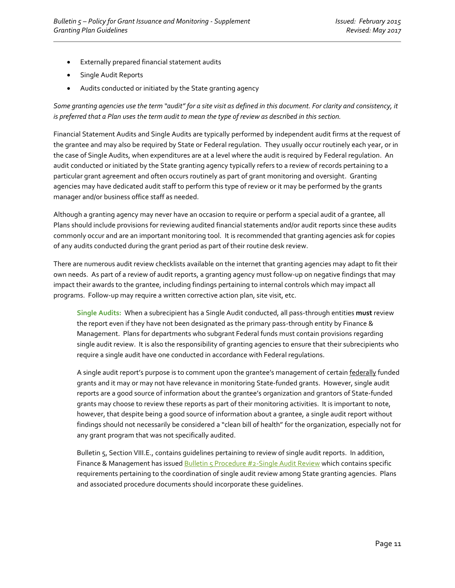- Externally prepared financial statement audits
- Single Audit Reports
- Audits conducted or initiated by the State granting agency

*Some granting agencies use the term "audit" for a site visit as defined in this document. For clarity and consistency, it is preferred that a Plan uses the term audit to mean the type of review as described in this section.*

Financial Statement Audits and Single Audits are typically performed by independent audit firms at the request of the grantee and may also be required by State or Federal regulation. They usually occur routinely each year, or in the case of Single Audits, when expenditures are at a level where the audit is required by Federal regulation. An audit conducted or initiated by the State granting agency typically refers to a review of records pertaining to a particular grant agreement and often occurs routinely as part of grant monitoring and oversight. Granting agencies may have dedicated audit staff to perform this type of review or it may be performed by the grants manager and/or business office staff as needed.

Although a granting agency may never have an occasion to require or perform a special audit of a grantee, all Plans should include provisions for reviewing audited financial statements and/or audit reports since these audits commonly occur and are an important monitoring tool. It is recommended that granting agencies ask for copies of any audits conducted during the grant period as part of their routine desk review.

There are numerous audit review checklists available on the internet that granting agencies may adapt to fit their own needs. As part of a review of audit reports, a granting agency must follow-up on negative findings that may impact their awards to the grantee, including findings pertaining to internal controls which may impact all programs. Follow-up may require a written corrective action plan, site visit, etc.

**Single Audits:** When a subrecipient has a Single Audit conducted, all pass-through entities **must** review the report even if they have not been designated as the primary pass-through entity by Finance & Management. Plans for departments who subgrant Federal funds must contain provisions regarding single audit review. It is also the responsibility of granting agencies to ensure that their subrecipients who require a single audit have one conducted in accordance with Federal regulations.

A single audit report's purpose is to comment upon the grantee's management of certain federally funded grants and it may or may not have relevance in monitoring State-funded grants. However, single audit reports are a good source of information about the grantee's organization and grantors of State-funded grants may choose to review these reports as part of their monitoring activities. It is important to note, however, that despite being a good source of information about a grantee, a single audit report without findings should not necessarily be considered a "clean bill of health" for the organization, especially not for any grant program that was not specifically audited.

Bulletin 5, Section VIII.E., contains guidelines pertaining to review of single audit reports. In addition, Finance & Management has issued **Bulletin 5 Procedure #2-Single Audit Review** which contains specific requirements pertaining to the coordination of single audit review among State granting agencies. Plans and associated procedure documents should incorporate these guidelines.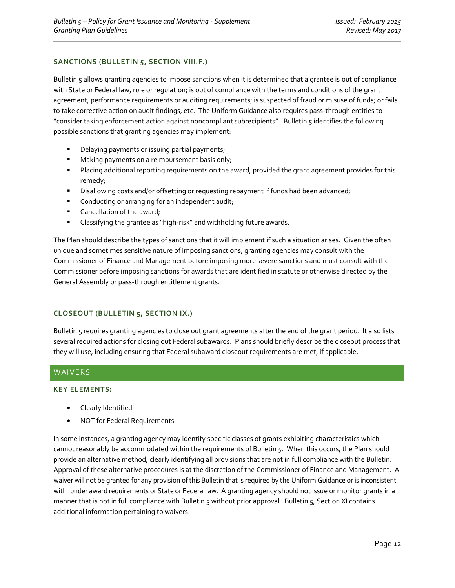#### **SANCTIONS (BULLETIN 5, SECTION VIII.F.)**

Bulletin 5 allows granting agencies to impose sanctions when it is determined that a grantee is out of compliance with State or Federal law, rule or regulation; is out of compliance with the terms and conditions of the grant agreement, performance requirements or auditing requirements; is suspected of fraud or misuse of funds; or fails to take corrective action on audit findings, etc. The Uniform Guidance also requires pass-through entities to "consider taking enforcement action against noncompliant subrecipients". Bulletin 5 identifies the following possible sanctions that granting agencies may implement:

- Delaying payments or issuing partial payments;
- Making payments on a reimbursement basis only;
- **■** Placing additional reporting requirements on the award, provided the grant agreement provides for this remedy;
- **■** Disallowing costs and/or offsetting or requesting repayment if funds had been advanced;
- Conducting or arranging for an independent audit;
- Cancellation of the award;
- Classifying the grantee as "high-risk" and withholding future awards.

The Plan should describe the types of sanctions that it will implement if such a situation arises. Given the often unique and sometimes sensitive nature of imposing sanctions, granting agencies may consult with the Commissioner of Finance and Management before imposing more severe sanctions and must consult with the Commissioner before imposing sanctions for awards that are identified in statute or otherwise directed by the General Assembly or pass-through entitlement grants.

#### **CLOSEOUT (BULLETIN 5, SECTION IX.)**

Bulletin 5 requires granting agencies to close out grant agreements after the end of the grant period. It also lists several required actions for closing out Federal subawards. Plans should briefly describe the closeout process that they will use, including ensuring that Federal subaward closeout requirements are met, if applicable.

#### <span id="page-11-0"></span>WAIVERS

#### **KEY ELEMENTS:**

- Clearly Identified
- NOT for Federal Requirements

In some instances, a granting agency may identify specific classes of grants exhibiting characteristics which cannot reasonably be accommodated within the requirements of Bulletin 5. When this occurs, the Plan should provide an alternative method, clearly identifying all provisions that are not in full compliance with the Bulletin. Approval of these alternative procedures is at the discretion of the Commissioner of Finance and Management. A waiver will not be granted for any provision of this Bulletin that is required by the Uniform Guidance or is inconsistent with funder award requirements or State or Federal law. A granting agency should not issue or monitor grants in a manner that is not in full compliance with Bulletin 5 without prior approval. Bulletin 5, Section XI contains additional information pertaining to waivers.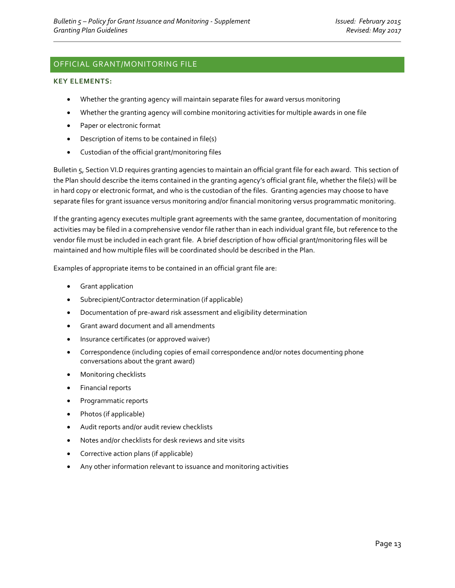# <span id="page-12-0"></span>OFFICIAL GRANT/MONITORING FILE

#### **KEY ELEMENTS:**

- Whether the granting agency will maintain separate files for award versus monitoring
- Whether the granting agency will combine monitoring activities for multiple awards in one file
- Paper or electronic format
- Description of items to be contained in file(s)
- Custodian of the official grant/monitoring files

Bulletin 5, Section VI.D requires granting agencies to maintain an official grant file for each award. This section of the Plan should describe the items contained in the granting agency's official grant file, whether the file(s) will be in hard copy or electronic format, and who is the custodian of the files. Granting agencies may choose to have separate files for grant issuance versus monitoring and/or financial monitoring versus programmatic monitoring.

If the granting agency executes multiple grant agreements with the same grantee, documentation of monitoring activities may be filed in a comprehensive vendor file rather than in each individual grant file, but reference to the vendor file must be included in each grant file. A brief description of how official grant/monitoring files will be maintained and how multiple files will be coordinated should be described in the Plan.

Examples of appropriate items to be contained in an official grant file are:

- Grant application
- Subrecipient/Contractor determination (if applicable)
- Documentation of pre-award risk assessment and eligibility determination
- Grant award document and all amendments
- Insurance certificates (or approved waiver)
- Correspondence (including copies of email correspondence and/or notes documenting phone conversations about the grant award)
- Monitoring checklists
- Financial reports
- Programmatic reports
- Photos (if applicable)
- Audit reports and/or audit review checklists
- Notes and/or checklists for desk reviews and site visits
- Corrective action plans (if applicable)
- Any other information relevant to issuance and monitoring activities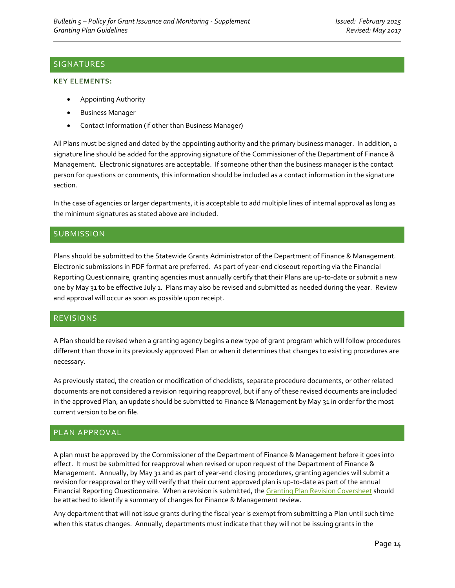# <span id="page-13-0"></span>SIGNATURES

#### **KEY ELEMENTS:**

- Appointing Authority
- Business Manager
- Contact Information (if other than Business Manager)

All Plans must be signed and dated by the appointing authority and the primary business manager. In addition, a signature line should be added for the approving signature of the Commissioner of the Department of Finance & Management. Electronic signatures are acceptable. If someone other than the business manager is the contact person for questions or comments, this information should be included as a contact information in the signature section.

In the case of agencies or larger departments, it is acceptable to add multiple lines of internal approval as long as the minimum signatures as stated above are included.

#### <span id="page-13-1"></span>**SUBMISSION**

Plans should be submitted to the Statewide Grants Administrator of the Department of Finance & Management. Electronic submissions in PDF format are preferred. As part of year-end closeout reporting via the Financial Reporting Questionnaire, granting agencies must annually certify that their Plans are up-to-date or submit a new one by May 31 to be effective July 1. Plans may also be revised and submitted as needed during the year. Review and approval will occur as soon as possible upon receipt.

#### <span id="page-13-2"></span>REVISIONS

A Plan should be revised when a granting agency begins a new type of grant program which will follow procedures different than those in its previously approved Plan or when it determines that changes to existing procedures are necessary.

As previously stated, the creation or modification of checklists, separate procedure documents, or other related documents are not considered a revision requiring reapproval, but if any of these revised documents are included in the approved Plan, an update should be submitted to Finance & Management by May 31 in order for the most current version to be on file.

#### <span id="page-13-3"></span>PLAN APPROVAL

A plan must be approved by the Commissioner of the Department of Finance & Management before it goes into effect. It must be submitted for reapproval when revised or upon request of the Department of Finance & Management. Annually, by May 31 and as part of year-end closing procedures, granting agencies will submit a revision for reapproval or they will verify that their current approved plan is up-to-date as part of the annual Financial Reporting Questionnaire. When a revision is submitted, th[e Granting Plan Revision](http://finance.vermont.gov/sites/finance/files/documents/Pol_Proc/Grants/FIN-B5_Granting_Plan_Revision_Coversheet.pdf) Coversheet should be attached to identify a summary of changes for Finance & Management review.

Any department that will not issue grants during the fiscal year is exempt from submitting a Plan until such time when this status changes. Annually, departments must indicate that they will not be issuing grants in the